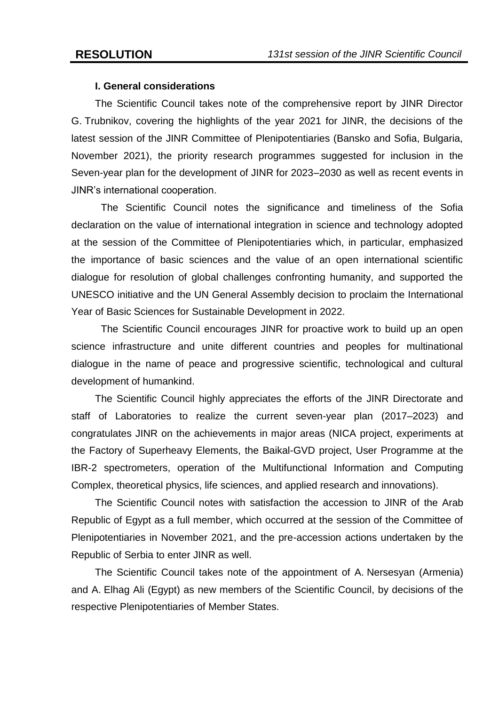# **I. General considerations**

The Scientific Council takes note of the comprehensive report by JINR Director G. Trubnikov, covering the highlights of the year 2021 for JINR, the decisions of the latest session of the JINR Committee of Plenipotentiaries (Bansko and Sofia, Bulgaria, November 2021), the priority research programmes suggested for inclusion in the Seven-year plan for the development of JINR for 2023–2030 as well as recent events in JINR's international cooperation.

The Scientific Council notes the significance and timeliness of the Sofia declaration on the value of international integration in science and technology adopted at the session of the Committee of Plenipotentiaries which, in particular, emphasized the importance of basic sciences and the value of an open international scientific dialogue for resolution of global challenges confronting humanity, and supported the UNESCO initiative and the UN General Assembly decision to proclaim the International Year of Basic Sciences for Sustainable Development in 2022.

The Scientific Council encourages JINR for proactive work to build up an open science infrastructure and unite different countries and peoples for multinational dialogue in the name of peace and progressive scientific, technological and cultural development of humankind.

The Scientific Council highly appreciates the efforts of the JINR Directorate and staff of Laboratories to realize the current seven-year plan (2017–2023) and congratulates JINR on the achievements in major areas (NICA project, experiments at the Factory of Superheavy Elements, the Baikal-GVD project, User Programme at the IBR-2 spectrometers, operation of the Multifunctional Information and Computing Complex, theoretical physics, life sciences, and applied research and innovations).

The Scientific Council notes with satisfaction the accession to JINR of the Arab Republic of Egypt as a full member, which occurred at the session of the Committee of Plenipotentiaries in November 2021, and the pre-accession actions undertaken by the Republic of Serbia to enter JINR as well.

The Scientific Council takes note of the appointment of A. Nersesyan (Armenia) and A. Elhag Ali (Egypt) as new members of the Scientific Council, by decisions of the respective Plenipotentiaries of Member States.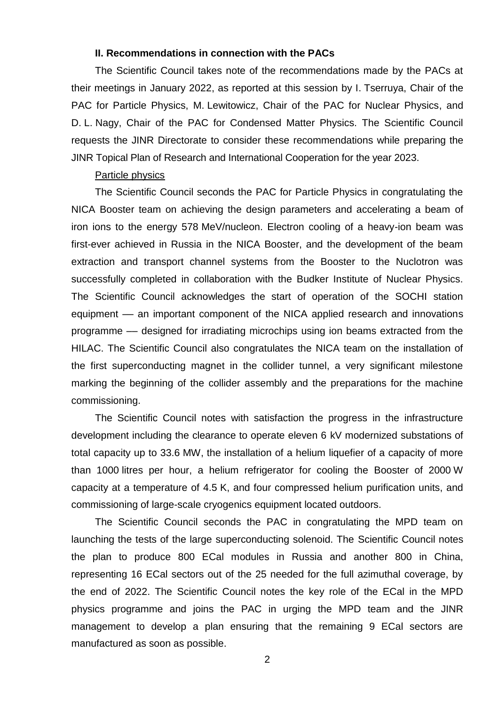## **II. Recommendations in connection with the PACs**

The Scientific Council takes note of the recommendations made by the PACs at their meetings in January 2022, as reported at this session by I. Tserruya, Chair of the PAC for Particle Physics, M. Lewitowicz, Chair of the PAC for Nuclear Physics, and D. L. Nagy, Chair of the PAC for Condensed Matter Physics. The Scientific Council requests the JINR Directorate to consider these recommendations while preparing the JINR Topical Plan of Research and International Cooperation for the year 2023.

#### Particle physics

The Scientific Council seconds the PAC for Particle Physics in congratulating the NICA Booster team on achieving the design parameters and accelerating a beam of iron ions to the energy 578 MeV/nucleon. Electron cooling of a heavy-ion beam was first-ever achieved in Russia in the NICA Booster, and the development of the beam extraction and transport channel systems from the Booster to the Nuclotron was successfully completed in collaboration with the Budker Institute of Nuclear Physics. The Scientific Council acknowledges the start of operation of the SOCHI station equipment –– an important component of the NICA applied research and innovations programme –– designed for irradiating microchips using ion beams extracted from the HILAC. The Scientific Council also congratulates the NICA team on the installation of the first superconducting magnet in the collider tunnel, a very significant milestone marking the beginning of the collider assembly and the preparations for the machine commissioning.

The Scientific Council notes with satisfaction the progress in the infrastructure development including the clearance to operate eleven 6 kV modernized substations of total capacity up to 33.6 MW, the installation of a helium liquefier of a capacity of more than 1000 litres per hour, a helium refrigerator for cooling the Booster of 2000 W capacity at a temperature of 4.5 K, and four compressed helium purification units, and commissioning of large-scale cryogenics equipment located outdoors.

The Scientific Council seconds the PAC in congratulating the MPD team on launching the tests of the large superconducting solenoid. The Scientific Council notes the plan to produce 800 ECal modules in Russia and another 800 in China, representing 16 ECal sectors out of the 25 needed for the full azimuthal coverage, by the end of 2022. The Scientific Council notes the key role of the ECal in the MPD physics programme and joins the PAC in urging the MPD team and the JINR management to develop a plan ensuring that the remaining 9 ECal sectors are manufactured as soon as possible.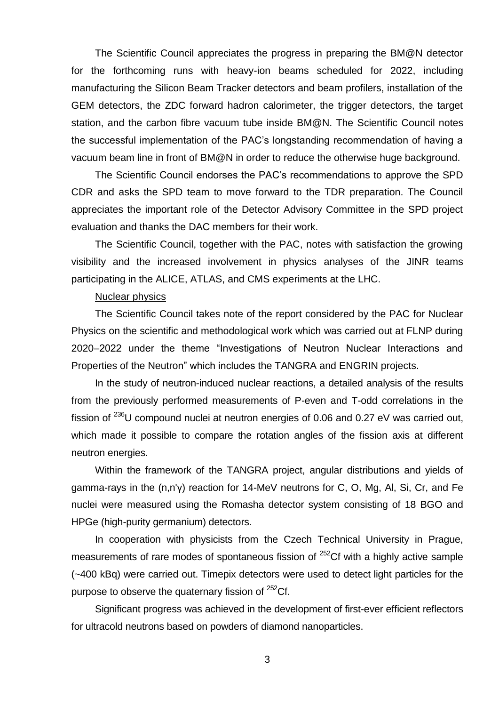The Scientific Council appreciates the progress in preparing the BM@N detector for the forthcoming runs with heavy-ion beams scheduled for 2022, including manufacturing the Silicon Beam Tracker detectors and beam profilers, installation of the GEM detectors, the ZDC forward hadron calorimeter, the trigger detectors, the target station, and the carbon fibre vacuum tube inside BM@N. The Scientific Council notes the successful implementation of the PAC's longstanding recommendation of having a vacuum beam line in front of BM@N in order to reduce the otherwise huge background.

The Scientific Council endorses the PAC's recommendations to approve the SPD CDR and asks the SPD team to move forward to the TDR preparation. The Council appreciates the important role of the Detector Advisory Committee in the SPD project evaluation and thanks the DAC members for their work.

The Scientific Council, together with the PAC, notes with satisfaction the growing visibility and the increased involvement in physics analyses of the JINR teams participating in the ALICE, ATLAS, and CMS experiments at the LHC.

#### Nuclear physics

The Scientific Council takes note of the report considered by the PAC for Nuclear Physics on the scientific and methodological work which was carried out at FLNP during 2020–2022 under the theme "Investigations of Neutron Nuclear Interactions and Properties of the Neutron" which includes the TANGRA and ENGRIN projects.

In the study of neutron-induced nuclear reactions, a detailed analysis of the results from the previously performed measurements of P-even and T-odd correlations in the fission of  $^{236}$ U compound nuclei at neutron energies of 0.06 and 0.27 eV was carried out, which made it possible to compare the rotation angles of the fission axis at different neutron energies.

Within the framework of the TANGRA project, angular distributions and yields of gamma-rays in the (n,n'γ) reaction for 14-MeV neutrons for C, O, Mg, Al, Si, Cr, and Fe nuclei were measured using the Romasha detector system consisting of 18 BGO and HPGe (high-purity germanium) detectors.

In cooperation with physicists from the Czech Technical University in Prague, measurements of rare modes of spontaneous fission of  $252$ Cf with a highly active sample (~400 kBq) were carried out. Timepix detectors were used to detect light particles for the purpose to observe the quaternary fission of  $252$ Cf.

Significant progress was achieved in the development of first-ever efficient reflectors for ultracold neutrons based on powders of diamond nanoparticles.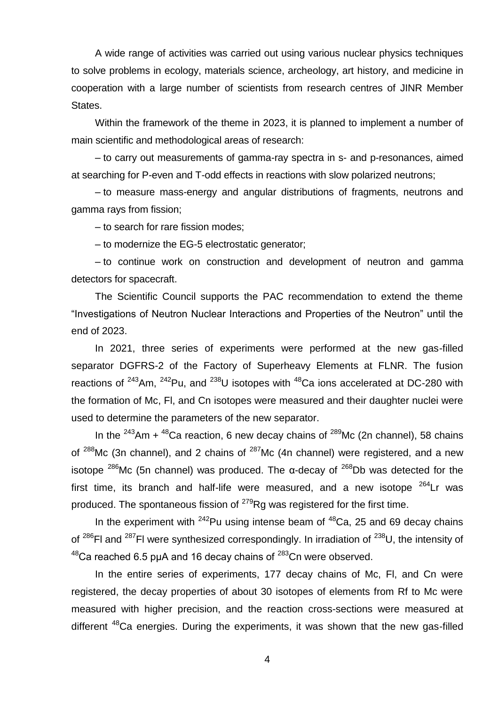A wide range of activities was carried out using various nuclear physics techniques to solve problems in ecology, materials science, archeology, art history, and medicine in cooperation with a large number of scientists from research centres of JINR Member States.

Within the framework of the theme in 2023, it is planned to implement a number of main scientific and methodological areas of research:

– to carry out measurements of gamma-ray spectra in s- and p-resonances, aimed at searching for P-even and T-odd effects in reactions with slow polarized neutrons;

– to measure mass-energy and angular distributions of fragments, neutrons and gamma rays from fission;

– to search for rare fission modes;

– to modernize the EG-5 electrostatic generator;

– to continue work on construction and development of neutron and gamma detectors for spacecraft.

The Scientific Council supports the PAC recommendation to extend the theme "Investigations of Neutron Nuclear Interactions and Properties of the Neutron" until the end of 2023.

In 2021, three series of experiments were performed at the new gas-filled separator DGFRS-2 of the Factory of Superheavy Elements at FLNR. The fusion reactions of  $243$ Am,  $242$ Pu, and  $238$ U isotopes with  $48$ Ca ions accelerated at DC-280 with the formation of Mc, Fl, and Cn isotopes were measured and their daughter nuclei were used to determine the parameters of the new separator.

In the  $243$ Am +  $48$ Ca reaction, 6 new decay chains of  $289$ Mc (2n channel), 58 chains of  $288$ Mc (3n channel), and 2 chains of  $287$ Mc (4n channel) were registered, and a new isotope <sup>286</sup>Mc (5n channel) was produced. The α-decay of <sup>268</sup>Db was detected for the first time, its branch and half-life were measured, and a new isotope  $264$ Lr was produced. The spontaneous fission of  $^{279}$ Rg was registered for the first time.

In the experiment with  $^{242}$ Pu using intense beam of  $^{48}$ Ca, 25 and 69 decay chains of  $^{286}$ FI and  $^{287}$ FI were synthesized correspondingly. In irradiation of  $^{238}$ U, the intensity of  $48$ Ca reached 6.5 puA and 16 decay chains of  $283$ Cn were observed.

In the entire series of experiments, 177 decay chains of Mc, Fl, and Cn were registered, the decay properties of about 30 isotopes of elements from Rf to Mc were measured with higher precision, and the reaction cross-sections were measured at different <sup>48</sup>Ca energies. During the experiments, it was shown that the new gas-filled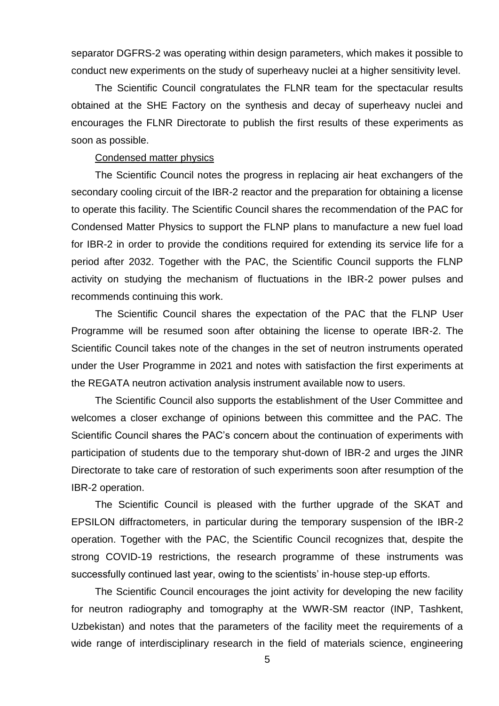separator DGFRS-2 was operating within design parameters, which makes it possible to conduct new experiments on the study of superheavy nuclei at a higher sensitivity level.

The Scientific Council congratulates the FLNR team for the spectacular results obtained at the SHE Factory on the synthesis and decay of superheavy nuclei and encourages the FLNR Directorate to publish the first results of these experiments as soon as possible.

## Condensed matter physics

The Scientific Council notes the progress in replacing air heat exchangers of the secondary cooling circuit of the IBR-2 reactor and the preparation for obtaining a license to operate this facility. The Scientific Council shares the recommendation of the PAC for Condensed Matter Physics to support the FLNP plans to manufacture a new fuel load for IBR-2 in order to provide the conditions required for extending its service life for a period after 2032. Together with the PAC, the Scientific Council supports the FLNP activity on studying the mechanism of fluctuations in the IBR-2 power pulses and recommends continuing this work.

The Scientific Council shares the expectation of the PAC that the FLNP User Programme will be resumed soon after obtaining the license to operate IBR-2. The Scientific Council takes note of the changes in the set of neutron instruments operated under the User Programme in 2021 and notes with satisfaction the first experiments at the REGATA neutron activation analysis instrument available now to users.

The Scientific Council also supports the establishment of the User Committee and welcomes a closer exchange of opinions between this committee and the PAC. The Scientific Council shares the PAC's concern about the continuation of experiments with participation of students due to the temporary shut-down of IBR-2 and urges the JINR Directorate to take care of restoration of such experiments soon after resumption of the IBR-2 operation.

The Scientific Council is pleased with the further upgrade of the SKAT and EPSILON diffractometers, in particular during the temporary suspension of the IBR-2 operation. Together with the PAC, the Scientific Council recognizes that, despite the strong COVID-19 restrictions, the research programme of these instruments was successfully continued last year, owing to the scientists' in-house step-up efforts.

The Scientific Council encourages the joint activity for developing the new facility for neutron radiography and tomography at the WWR-SM reactor (INP, Tashkent, Uzbekistan) and notes that the parameters of the facility meet the requirements of a wide range of interdisciplinary research in the field of materials science, engineering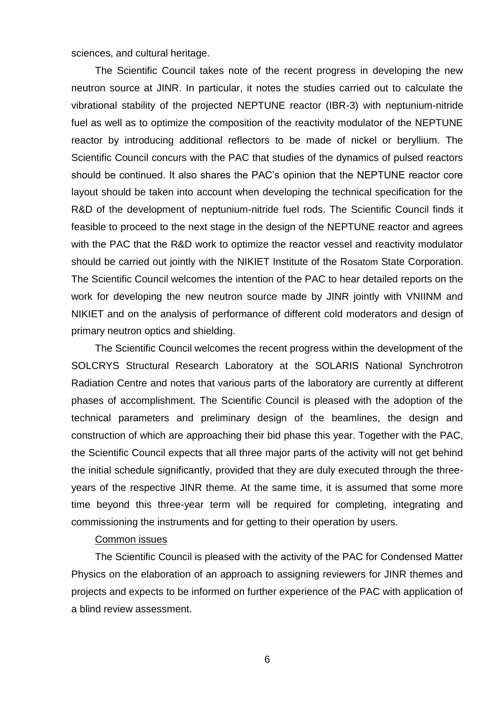sciences, and cultural heritage.

The Scientific Council takes note of the recent progress in developing the new neutron source at JINR. In particular, it notes the studies carried out to calculate the vibrational stability of the projected NEPTUNE reactor (IBR-3) with neptunium-nitride fuel as well as to optimize the composition of the reactivity modulator of the NEPTUNE reactor by introducing additional reflectors to be made of nickel or beryllium. The Scientific Council concurs with the PAC that studies of the dynamics of pulsed reactors should be continued. It also shares the PAC's opinion that the NEPTUNE reactor core layout should be taken into account when developing the technical specification for the R&D of the development of neptunium-nitride fuel rods. The Scientific Council finds it feasible to proceed to the next stage in the design of the NEPTUNE reactor and agrees with the PAC that the R&D work to optimize the reactor vessel and reactivity modulator should be carried out jointly with the NIKIET Institute of the Rosatom State Corporation. The Scientific Council welcomes the intention of the PAC to hear detailed reports on the work for developing the new neutron source made by JINR jointly with VNIINM and NIKIET and on the analysis of performance of different cold moderators and design of primary neutron optics and shielding.

The Scientific Council welcomes the recent progress within the development of the SOLCRYS Structural Research Laboratory at the SOLARIS National Synchrotron Radiation Centre and notes that various parts of the laboratory are currently at different phases of accomplishment. The Scientific Council is pleased with the adoption of the technical parameters and preliminary design of the beamlines, the design and construction of which are approaching their bid phase this year. Together with the PAC, the Scientific Council expects that all three major parts of the activity will not get behind the initial schedule significantly, provided that they are duly executed through the threeyears of the respective JINR theme. At the same time, it is assumed that some more time beyond this three-year term will be required for completing, integrating and commissioning the instruments and for getting to their operation by users.

# Common issues

The Scientific Council is pleased with the activity of the PAC for Condensed Matter Physics on the elaboration of an approach to assigning reviewers for JINR themes and projects and expects to be informed on further experience of the PAC with application of a blind review assessment.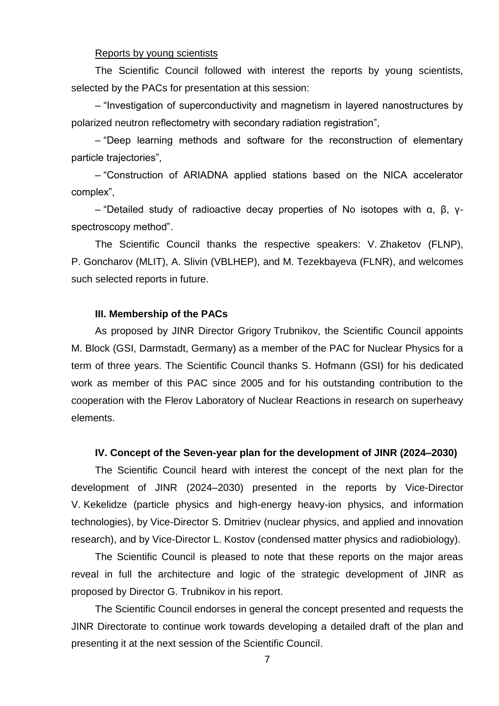#### Reports by young scientists

The Scientific Council followed with interest the reports by young scientists, selected by the PACs for presentation at this session:

– "Investigation of superconductivity and magnetism in layered nanostructures by polarized neutron reflectometry with secondary radiation registration",

– "Deep learning methods and software for the reconstruction of elementary particle trajectories",

– "Construction of ARIADNA applied stations based on the NICA accelerator complex",

– "Detailed study of radioactive decay properties of No isotopes with α, β, γspectroscopy method".

The Scientific Council thanks the respective speakers: V. Zhaketov (FLNP), P. Goncharov (MLIT), A. Slivin (VBLHEP), and M. Tezekbayeva (FLNR), and welcomes such selected reports in future.

#### **III. Membership of the PACs**

As proposed by JINR Director Grigory Trubnikov, the Scientific Council appoints M. Block (GSI, Darmstadt, Germany) as a member of the PAC for Nuclear Physics for a term of three years. The Scientific Council thanks S. Hofmann (GSI) for his dedicated work as member of this PAC since 2005 and for his outstanding contribution to the cooperation with the Flerov Laboratory of Nuclear Reactions in research on superheavy elements.

#### **IV. Concept of the Seven-year plan for the development of JINR (2024–2030)**

The Scientific Council heard with interest the concept of the next plan for the development of JINR (2024–2030) presented in the reports by Vice-Director V. Kekelidze (particle physics and high-energy heavy-ion physics, and information technologies), by Vice-Director S. Dmitriev (nuclear physics, and applied and innovation research), and by Vice-Director L. Kostov (condensed matter physics and radiobiology).

The Scientific Council is pleased to note that these reports on the major areas reveal in full the architecture and logic of the strategic development of JINR as proposed by Director G. Trubnikov in his report.

The Scientific Council endorses in general the concept presented and requests the JINR Directorate to continue work towards developing a detailed draft of the plan and presenting it at the next session of the Scientific Council.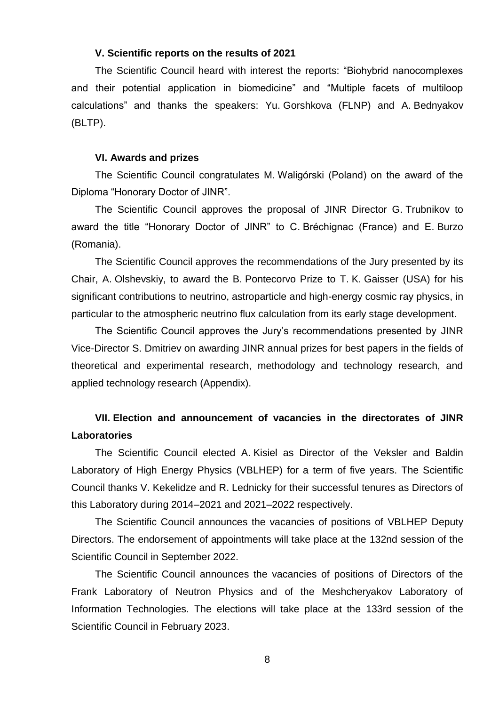### **V. Scientific reports on the results of 2021**

The Scientific Council heard with interest the reports: "Biohybrid nanocomplexes and their potential application in biomedicine" and "Multiple facets of multiloop calculations" and thanks the speakers: Yu. Gorshkova (FLNP) and A. Bednyakov (BLTP).

#### **VI. Awards and prizes**

The Scientific Council congratulates M. Waligórski (Poland) on the award of the Diploma "Honorary Doctor of JINR".

The Scientific Council approves the proposal of JINR Director G. Trubnikov to award the title "Honorary Doctor of JINR" to C. Bréchignac (France) and E. Burzo (Romania).

The Scientific Council approves the recommendations of the Jury presented by its Chair, A. Olshevskiy, to award the B. Pontecorvo Prize to T. K. Gaisser (USA) for his significant contributions to neutrino, astroparticle and high-energy cosmic ray physics, in particular to the atmospheric neutrino flux calculation from its early stage development.

The Scientific Council approves the Jury's recommendations presented by JINR Vice-Director S. Dmitriev on awarding JINR annual prizes for best papers in the fields of theoretical and experimental research, methodology and technology research, and applied technology research (Appendix).

# **VII. Election and announcement of vacancies in the directorates of JINR Laboratories**

The Scientific Council elected A. Kisiel as Director of the Veksler and Baldin Laboratory of High Energy Physics (VBLHEP) for a term of five years. The Scientific Council thanks V. Kekelidze and R. Lednicky for their successful tenures as Directors of this Laboratory during 2014–2021 and 2021–2022 respectively.

The Scientific Council announces the vacancies of positions of VBLHEP Deputy Directors. The endorsement of appointments will take place at the 132nd session of the Scientific Council in September 2022.

The Scientific Council announces the vacancies of positions of Directors of the Frank Laboratory of Neutron Physics and of the Meshcheryakov Laboratory of Information Technologies. The elections will take place at the 133rd session of the Scientific Council in February 2023.